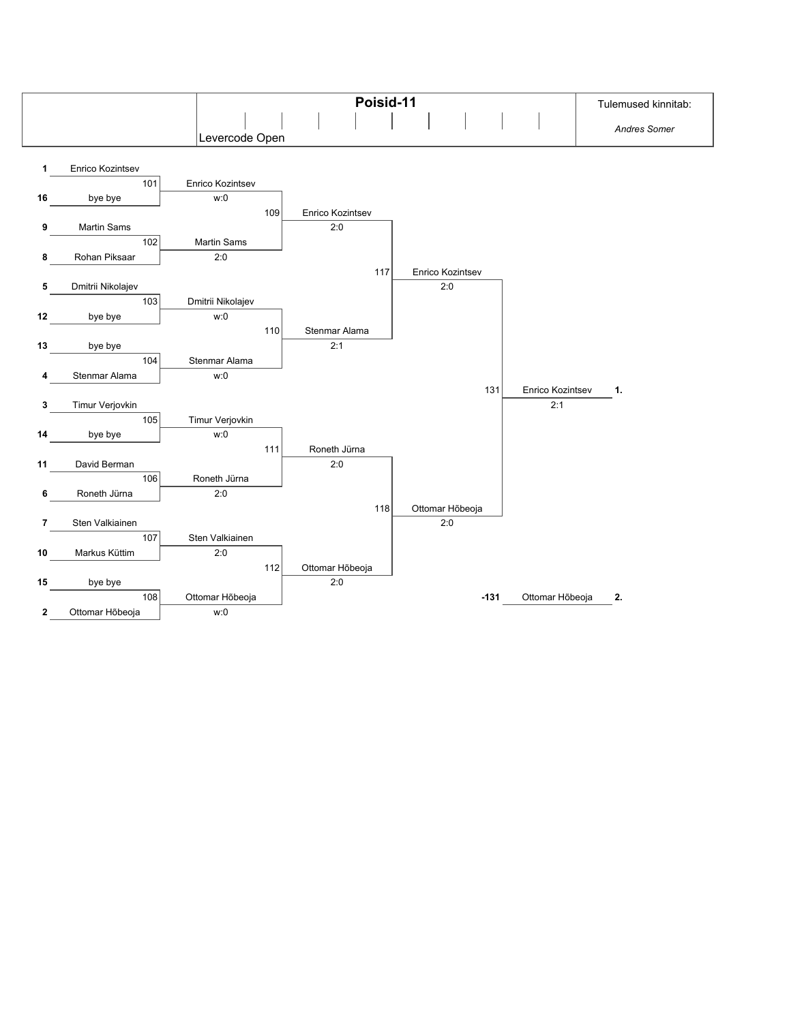